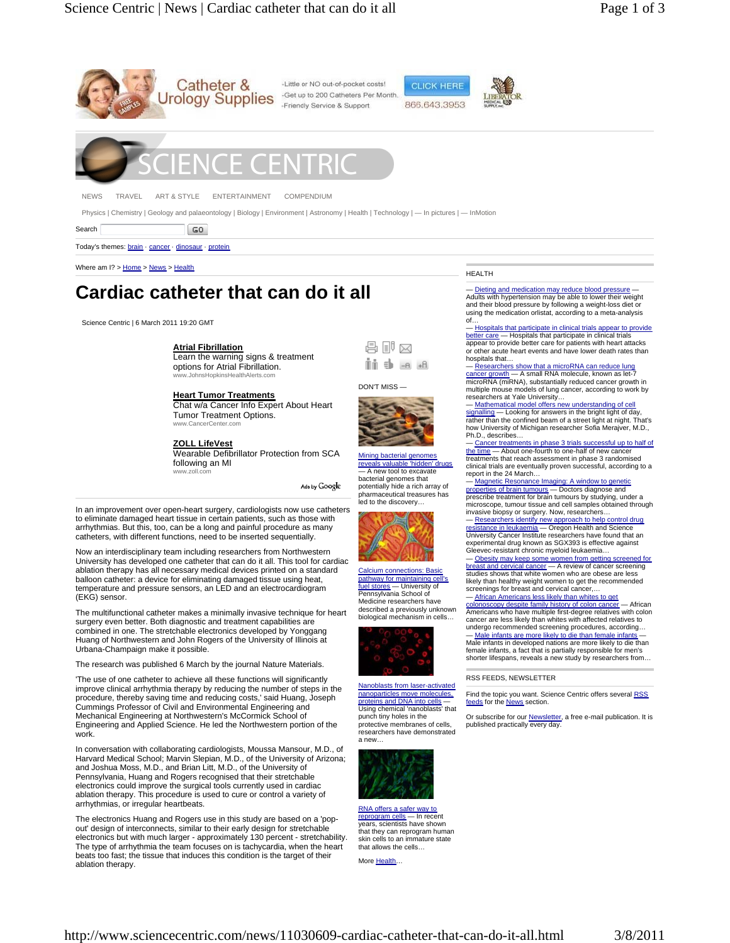

Physics | Chemistry | Geology and palaeontology | Biology | Environment | Astronomy | Health | Technology | — In pictures | — InMotion

Search  $|$  GO

Today's themes: brain · cancer · dinosaur · protein

Where am I? > Home > News > Health

# **Cardiac catheter that can do it all**

Science Centric | 6 March 2011 19:20 GMT

# **Atrial Fibrillation**

Learn the warning signs & treatment options for Atrial Fibrillation. www.JohnsHopkinsHealthAlerts.com

### **Heart Tumor Treatments**

Chat w/a Cancer Info Expert About Heart Tumor Treatment Options. www.CancerCenter.com

# **ZOLL LifeVest**

Wearable Defibrillator Protection from SCA following an MI www.zoll.com

Ads by Google

In an improvement over open-heart surgery, cardiologists now use catheters to eliminate damaged heart tissue in certain patients, such as those with arrhythmias. But this, too, can be a long and painful procedure as many catheters, with different functions, need to be inserted sequentially.

Now an interdisciplinary team including researchers from Northwestern University has developed one catheter that can do it all. This tool for cardiac ablation therapy has all necessary medical devices printed on a standard balloon catheter: a device for eliminating damaged tissue using heat, temperature and pressure sensors, an LED and an electrocardiogram (EKG) sensor.

The multifunctional catheter makes a minimally invasive technique for heart surgery even better. Both diagnostic and treatment capabilities are combined in one. The stretchable electronics developed by Yonggang Huang of Northwestern and John Rogers of the University of Illinois at Urbana-Champaign make it possible.

The research was published 6 March by the journal Nature Materials.

'The use of one catheter to achieve all these functions will significantly improve clinical arrhythmia therapy by reducing the number of steps in the procedure, thereby saving time and reducing costs,' said Huang, Joseph Cummings Professor of Civil and Environmental Engineering and Mechanical Engineering at Northwestern's McCormick School of Engineering and Applied Science. He led the Northwestern portion of the work.

In conversation with collaborating cardiologists, Moussa Mansour, M.D., of Harvard Medical School; Marvin Slepian, M.D., of the University of Arizona; and Joshua Moss, M.D., and Brian Litt, M.D., of the University of Pennsylvania, Huang and Rogers recognised that their stretchable electronics could improve the surgical tools currently used in cardiac ablation therapy. This procedure is used to cure or control a variety of arrhythmias, or irregular heartbeats.

The electronics Huang and Rogers use in this study are based on a 'popout' design of interconnects, similar to their early design for stretchable electronics but with much larger - approximately 130 percent - stretchability. The type of arrhythmia the team focuses on is tachycardia, when the heart beats too fast; the tissue that induces this condition is the target of their ablation therapy.

#### HEALTH

Dieting and medication may reduce blood pressure Adults with hypertension may be able to lower their weight and their blood pressure by following a weight-loss diet or using the medication orlistat, according to a meta-analysis of…

— Hospitals that participate in clinical trials appear to provide better care — Hospitals that participate in clinical trials appear to provide better care for patients with heart attacks or other acute heart events and have lower death rates than hospitals that…

## — <mark>Researchers show that a microRNA can reduce lung</mark><br><u>cancer growth</u> — A small RNA molecule, known as let-7 cancer growth — A small RNA molecule, known as let-7<br>microRNA (miRNA), substantially reduced cancer growth in multiple mouse models of lung cancer, according to work by researchers at Yale University…

— <u>Mathematical model offers new understanding of cell</u><br>signalling — Looking for answers in the bright light of day,<br>rather than the confined beam of a street light at night. That's how University of Michigan researcher Sofia Merajver, M.D., Ph.D., describes…

— Cancer treatments in phase 3 trials successful up to half of the time — About one-fourth to one-half of new cancer<br>treatments that reach assessment in phase 3 randomised clinical trials are eventually proven successful, according to a report in the 24 March… — Magnetic Resonance Imaging: A window to gene

properties of brain tumours — Doctors diagnose and<br>prescribe treatment for brain tumours by studying, under a microscope, tumour tissue and cell samples obtained through invasive biopsy or surgery. Now, researchers…

— <u>Researchers identify new approach to help control drug</u><br><u>resistance in leukaemia</u> — Oregon Health and Science<br>University Cancer Institute researchers have found that an experimental drug known as SGX393 is effective against Gleevec-resistant chronic myeloid leukaemia… - Obesity may keep some women from getting

east and cervical cancer — A review of cancer screening studies shows that white women who are obese are less likely than healthy weight women to get the recommended screenings for breast and cervical cancer... African Americans less likely than whites to get

colonoscopy despite family history of colon cancer — African Americans who have multiple first-degree relatives with colon cancer are less likely than whites with affected relatives to

undergo recommended screening procedures, according… Male infants are more likely to die than female infants Male infants in developed nations are more likely to die than female infants, a fact that is partially responsible for men's shorter lifespans, reveals a new study by researchers from…

#### RSS FEEDS, NEWSLETTER

Find the topic you want. Science Centric offers several RSS feeds for the **News** section.

Or subscribe for our <u>Newsletter</u>, a free e-mail publication. It is<br>published practically every day.



a new…

RNA offers a safer way to reprogram cells — In recent<br>years, scientists have shown that they can reprogram human skin cells to an immature state that allows the cells…

More Health...

Mining bacterial genomes Is valuable 'hidden' d

 同 同 の imi s) -a +a

DON'T MISS —

A new tool to excavate bacterial genomes that potentially hide a rich array of pharmaceutical treasures has led to the discovery…



Calcium connections: Basic pathway for maintaining cell's<br>fuel stores - University of  $-$  University of Pennsylvania School of Medicine researchers have described a previously unknown biological mechanism in cells…



Nanoblasts from laser-activated nanoparticles move molecules, proteins and DNA into cells -Using chemical 'nanoblasts' that punch tiny holes in the protective membranes of cells, researchers have demonstrated

http://www.sciencecentric.com/news/11030609-cardiac-catheter-that-can-do-it-all.html 3/8/2011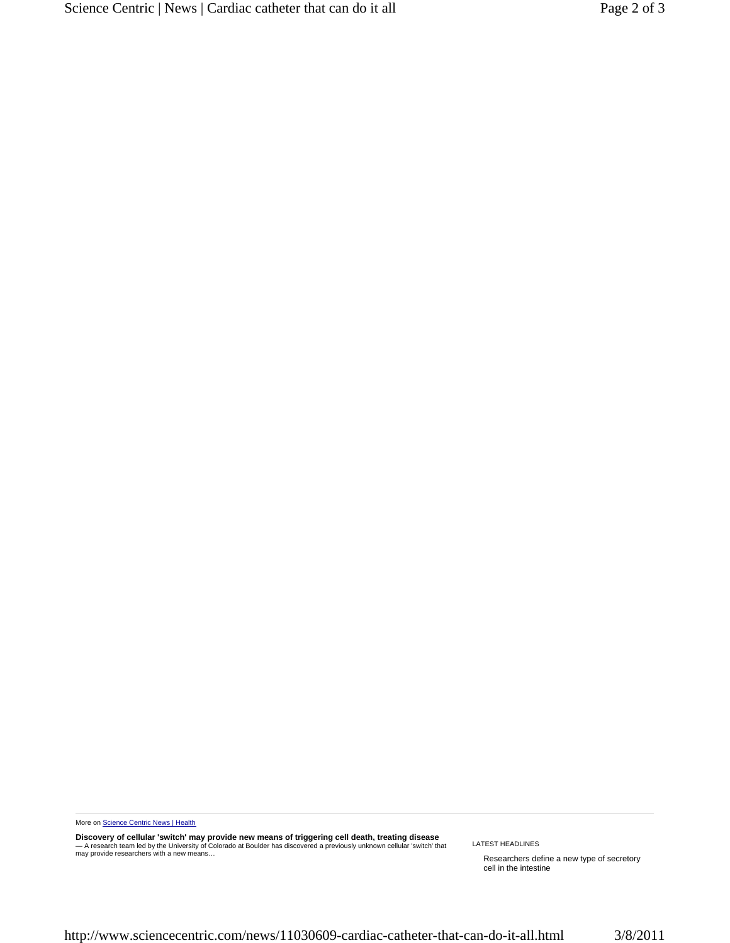More on Science Centric News | Health

**Discovery of cellular 'switch' may provide new means of triggering cell death, treating disease**<br>— A research team led by the University of Colorado at Boulder has discovered a previously unknown cellular 'switch' that<br>m

LATEST HEADLINES

Researchers define a new type of secretory cell in the intestine